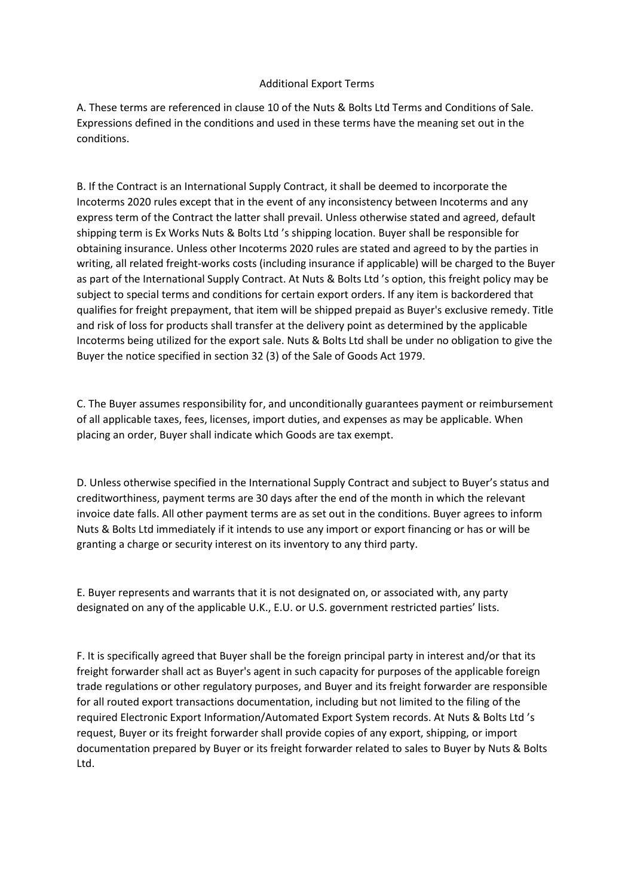## Additional Export Terms

A. These terms are referenced in clause 10 of the Nuts & Bolts Ltd Terms and Conditions of Sale. Expressions defined in the conditions and used in these terms have the meaning set out in the conditions.

B. If the Contract is an International Supply Contract, it shall be deemed to incorporate the Incoterms 2020 rules except that in the event of any inconsistency between Incoterms and any express term of the Contract the latter shall prevail. Unless otherwise stated and agreed, default shipping term is Ex Works Nuts & Bolts Ltd 's shipping location. Buyer shall be responsible for obtaining insurance. Unless other Incoterms 2020 rules are stated and agreed to by the parties in writing, all related freight-works costs (including insurance if applicable) will be charged to the Buyer as part of the International Supply Contract. At Nuts & Bolts Ltd 's option, this freight policy may be subject to special terms and conditions for certain export orders. If any item is backordered that qualifies for freight prepayment, that item will be shipped prepaid as Buyer's exclusive remedy. Title and risk of loss for products shall transfer at the delivery point as determined by the applicable Incoterms being utilized for the export sale. Nuts & Bolts Ltd shall be under no obligation to give the Buyer the notice specified in section 32 (3) of the Sale of Goods Act 1979.

C. The Buyer assumes responsibility for, and unconditionally guarantees payment or reimbursement of all applicable taxes, fees, licenses, import duties, and expenses as may be applicable. When placing an order, Buyer shall indicate which Goods are tax exempt.

D. Unless otherwise specified in the International Supply Contract and subject to Buyer's status and creditworthiness, payment terms are 30 days after the end of the month in which the relevant invoice date falls. All other payment terms are as set out in the conditions. Buyer agrees to inform Nuts & Bolts Ltd immediately if it intends to use any import or export financing or has or will be granting a charge or security interest on its inventory to any third party.

E. Buyer represents and warrants that it is not designated on, or associated with, any party designated on any of the applicable U.K., E.U. or U.S. government restricted parties' lists.

F. It is specifically agreed that Buyer shall be the foreign principal party in interest and/or that its freight forwarder shall act as Buyer's agent in such capacity for purposes of the applicable foreign trade regulations or other regulatory purposes, and Buyer and its freight forwarder are responsible for all routed export transactions documentation, including but not limited to the filing of the required Electronic Export Information/Automated Export System records. At Nuts & Bolts Ltd 's request, Buyer or its freight forwarder shall provide copies of any export, shipping, or import documentation prepared by Buyer or its freight forwarder related to sales to Buyer by Nuts & Bolts Ltd.